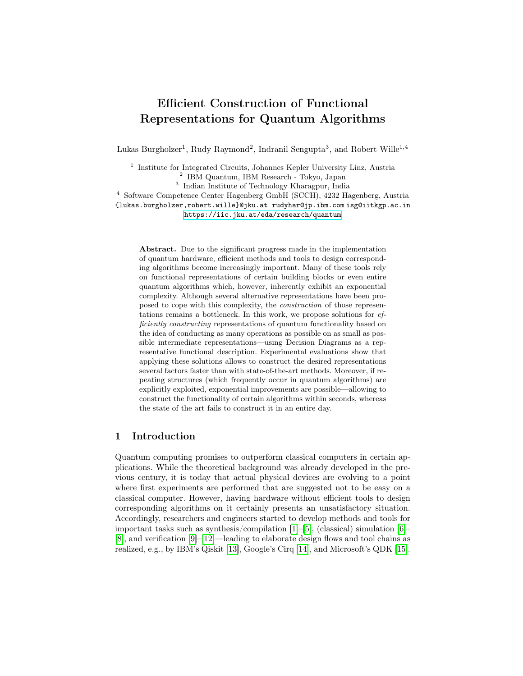# Efficient Construction of Functional Representations for Quantum Algorithms

Lukas Burgholzer<sup>1</sup>, Rudy Raymond<sup>2</sup>, Indranil Sengupta<sup>3</sup>, and Robert Wille<sup>1,4</sup>

<sup>1</sup> Institute for Integrated Circuits, Johannes Kepler University Linz, Austria 2 IBM Quantum, IBM Research - Tokyo, Japan

3 Indian Institute of Technology Kharagpur, India

<sup>4</sup> Software Competence Center Hagenberg GmbH (SCCH), 4232 Hagenberg, Austria {lukas.burgholzer,robert.wille}@jku.at rudyhar@jp.ibm.com isg@iitkgp.ac.in <https://iic.jku.at/eda/research/quantum>

Abstract. Due to the significant progress made in the implementation of quantum hardware, efficient methods and tools to design corresponding algorithms become increasingly important. Many of these tools rely on functional representations of certain building blocks or even entire quantum algorithms which, however, inherently exhibit an exponential complexity. Although several alternative representations have been proposed to cope with this complexity, the construction of those representations remains a bottleneck. In this work, we propose solutions for efficiently constructing representations of quantum functionality based on the idea of conducting as many operations as possible on as small as possible intermediate representations—using Decision Diagrams as a representative functional description. Experimental evaluations show that applying these solutions allows to construct the desired representations several factors faster than with state-of-the-art methods. Moreover, if repeating structures (which frequently occur in quantum algorithms) are explicitly exploited, exponential improvements are possible—allowing to construct the functionality of certain algorithms within seconds, whereas the state of the art fails to construct it in an entire day.

# 1 Introduction

Quantum computing promises to outperform classical computers in certain applications. While the theoretical background was already developed in the previous century, it is today that actual physical devices are evolving to a point where first experiments are performed that are suggested not to be easy on a classical computer. However, having hardware without efficient tools to design corresponding algorithms on it certainly presents an unsatisfactory situation. Accordingly, researchers and engineers started to develop methods and tools for important tasks such as synthesis/compilation  $[1]$ – $[5]$ , (classical) simulation  $[6]$ – [\[8\]](#page-13-3), and verification [\[9\]](#page-13-4)–[\[12\]](#page-13-5)—leading to elaborate design flows and tool chains as realized, e.g., by IBM's Qiskit [\[13\]](#page-13-6), Google's Cirq [\[14\]](#page-13-7), and Microsoft's QDK [\[15\]](#page-13-8).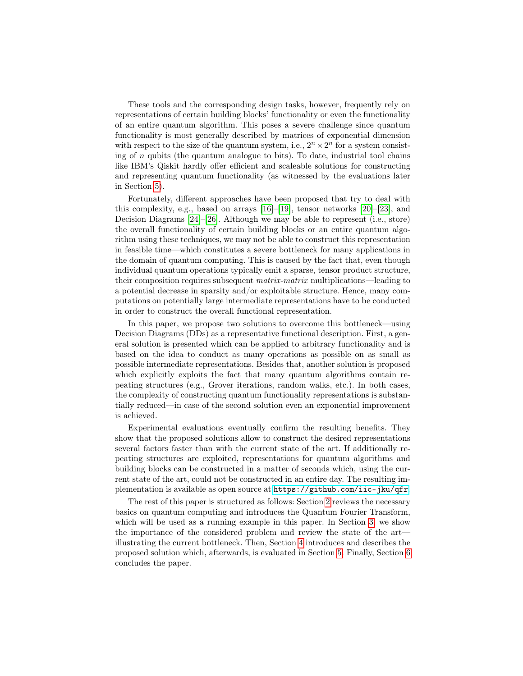These tools and the corresponding design tasks, however, frequently rely on representations of certain building blocks' functionality or even the functionality of an entire quantum algorithm. This poses a severe challenge since quantum functionality is most generally described by matrices of exponential dimension with respect to the size of the quantum system, i.e.,  $2^n \times 2^n$  for a system consisting of  $n$  qubits (the quantum analogue to bits). To date, industrial tool chains like IBM's Qiskit hardly offer efficient and scaleable solutions for constructing and representing quantum functionality (as witnessed by the evaluations later in Section [5\)](#page-10-0).

Fortunately, different approaches have been proposed that try to deal with this complexity, e.g., based on arrays  $[16]$ –[\[19\]](#page-13-10), tensor networks [\[20\]](#page-14-0)–[\[23\]](#page-14-1), and Decision Diagrams [\[24\]](#page-14-2)–[\[26\]](#page-14-3). Although we may be able to represent (i.e., store) the overall functionality of certain building blocks or an entire quantum algorithm using these techniques, we may not be able to construct this representation in feasible time—which constitutes a severe bottleneck for many applications in the domain of quantum computing. This is caused by the fact that, even though individual quantum operations typically emit a sparse, tensor product structure, their composition requires subsequent matrix-matrix multiplications—leading to a potential decrease in sparsity and/or exploitable structure. Hence, many computations on potentially large intermediate representations have to be conducted in order to construct the overall functional representation.

In this paper, we propose two solutions to overcome this bottleneck—using Decision Diagrams (DDs) as a representative functional description. First, a general solution is presented which can be applied to arbitrary functionality and is based on the idea to conduct as many operations as possible on as small as possible intermediate representations. Besides that, another solution is proposed which explicitly exploits the fact that many quantum algorithms contain repeating structures (e.g., Grover iterations, random walks, etc.). In both cases, the complexity of constructing quantum functionality representations is substantially reduced—in case of the second solution even an exponential improvement is achieved.

Experimental evaluations eventually confirm the resulting benefits. They show that the proposed solutions allow to construct the desired representations several factors faster than with the current state of the art. If additionally repeating structures are exploited, representations for quantum algorithms and building blocks can be constructed in a matter of seconds which, using the current state of the art, could not be constructed in an entire day. The resulting implementation is available as open source at <https://github.com/iic-jku/qfr>.

The rest of this paper is structured as follows: Section [2](#page-2-0) reviews the necessary basics on quantum computing and introduces the Quantum Fourier Transform, which will be used as a running example in this paper. In Section [3,](#page-3-0) we show the importance of the considered problem and review the state of the art illustrating the current bottleneck. Then, Section [4](#page-6-0) introduces and describes the proposed solution which, afterwards, is evaluated in Section [5.](#page-10-0) Finally, Section [6](#page-12-0) concludes the paper.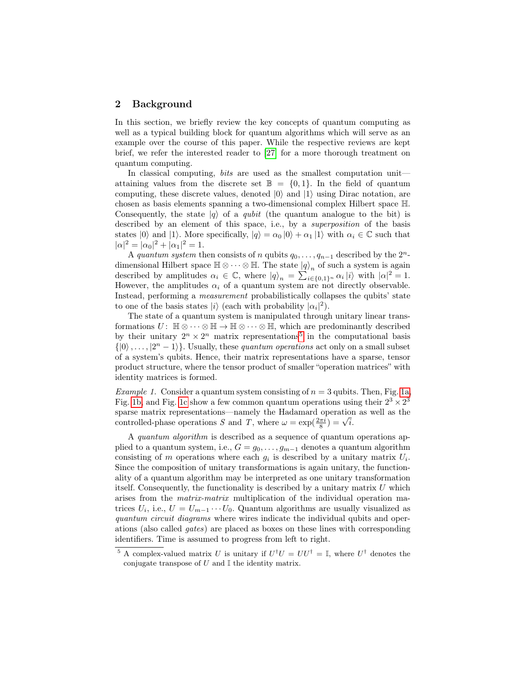## <span id="page-2-0"></span>2 Background

In this section, we briefly review the key concepts of quantum computing as well as a typical building block for quantum algorithms which will serve as an example over the course of this paper. While the respective reviews are kept brief, we refer the interested reader to [\[27\]](#page-14-4) for a more thorough treatment on quantum computing.

In classical computing, *bits* are used as the smallest computation unit attaining values from the discrete set  $\mathbb{B} = \{0, 1\}$ . In the field of quantum computing, these discrete values, denoted  $|0\rangle$  and  $|1\rangle$  using Dirac notation, are chosen as basis elements spanning a two-dimensional complex Hilbert space H. Consequently, the state  $|q\rangle$  of a *qubit* (the quantum analogue to the bit) is described by an element of this space, i.e., by a *superposition* of the basis states  $|0\rangle$  and  $|1\rangle$ . More specifically,  $|q\rangle = \alpha_0 |0\rangle + \alpha_1 |1\rangle$  with  $\alpha_i \in \mathbb{C}$  such that  $|\alpha|^2 = |\alpha_0|^2 + |\alpha_1|^2 = 1.$ 

A quantum system then consists of n qubits  $q_0, \ldots, q_{n-1}$  described by the  $2^n$ dimensional Hilbert space  $\mathbb{H} \otimes \cdots \otimes \mathbb{H}$ . The state  $|q\rangle_n$  of such a system is again described by amplitudes  $\alpha_i \in \mathbb{C}$ , where  $|q\rangle_n = \sum_{i \in \{0,1\}^n} a_i |i\rangle$  with  $|\alpha|^2 = 1$ . However, the amplitudes  $\alpha_i$  of a quantum system are not directly observable. Instead, performing a measurement probabilistically collapses the qubits' state to one of the basis states  $|i\rangle$  (each with probability  $|\alpha_i|^2$ ).

The state of a quantum system is manipulated through unitary linear transformations  $U: \mathbb{H} \otimes \cdots \otimes \mathbb{H} \to \mathbb{H} \otimes \cdots \otimes \mathbb{H}$ , which are predominantly described by their unitary  $2^n \times 2^n$  matrix representations<sup>[5](#page-2-1)</sup> in the computational basis  $\{|0\rangle, \ldots, |2^n-1\rangle\}$ . Usually, these *quantum operations* act only on a small subset of a system's qubits. Hence, their matrix representations have a sparse, tensor product structure, where the tensor product of smaller "operation matrices" with identity matrices is formed.

<span id="page-2-2"></span>*Example 1.* Consider a quantum system consisting of  $n = 3$  qubits. Then, Fig. [1a,](#page-3-1) Fig. [1b,](#page-3-1) and Fig. [1c](#page-3-1) show a few common quantum operations using their  $2^3 \times 2^3$ sparse matrix representations—namely the Hadamard operation as well as the sparse matrix representations—namely the Hadamard operation<br>controlled-phase operations S and T, where  $\omega = \exp(\frac{2\pi i}{8}) = \sqrt{i}$ .

A quantum algorithm is described as a sequence of quantum operations applied to a quantum system, i.e.,  $G = g_0, \ldots, g_{m-1}$  denotes a quantum algorithm consisting of m operations where each  $g_i$  is described by a unitary matrix  $U_i$ . Since the composition of unitary transformations is again unitary, the functionality of a quantum algorithm may be interpreted as one unitary transformation itself. Consequently, the functionality is described by a unitary matrix  $U$  which arises from the matrix-matrix multiplication of the individual operation matrices  $U_i$ , i.e.,  $U = U_{m-1} \cdots U_0$ . Quantum algorithms are usually visualized as quantum circuit diagrams where wires indicate the individual qubits and operations (also called gates) are placed as boxes on these lines with corresponding identifiers. Time is assumed to progress from left to right.

<span id="page-2-1"></span><sup>&</sup>lt;sup>5</sup> A complex-valued matrix U is unitary if  $U^{\dagger}U = U U^{\dagger} = \mathbb{I}$ , where  $U^{\dagger}$  denotes the conjugate transpose of  $U$  and  $\mathbb I$  the identity matrix.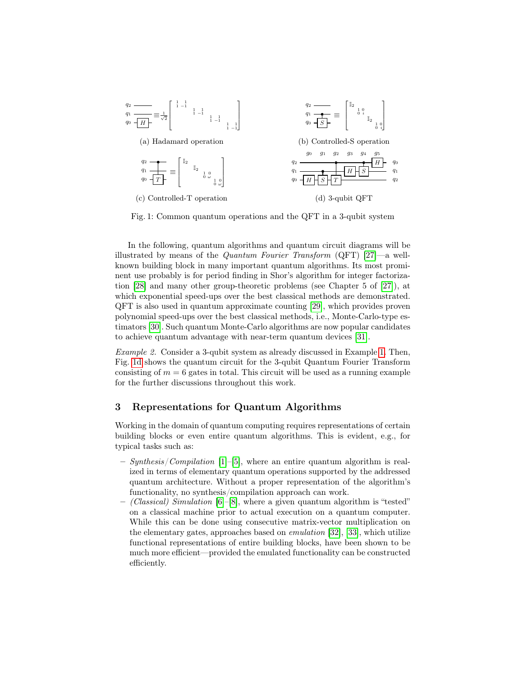<span id="page-3-1"></span>

Fig. 1: Common quantum operations and the QFT in a 3-qubit system

In the following, quantum algorithms and quantum circuit diagrams will be illustrated by means of the Quantum Fourier Transform (QFT) [\[27\]](#page-14-4)—a wellknown building block in many important quantum algorithms. Its most prominent use probably is for period finding in Shor's algorithm for integer factorization [\[28\]](#page-14-5) and many other group-theoretic problems (see Chapter 5 of [\[27\]](#page-14-4)), at which exponential speed-ups over the best classical methods are demonstrated. QFT is also used in quantum approximate counting [\[29\]](#page-14-6), which provides proven polynomial speed-ups over the best classical methods, i.e., Monte-Carlo-type estimators [\[30\]](#page-14-7). Such quantum Monte-Carlo algorithms are now popular candidates to achieve quantum advantage with near-term quantum devices [\[31\]](#page-14-8).

Example 2. Consider a 3-qubit system as already discussed in Example [1.](#page-2-2) Then, Fig. [1d](#page-3-1) shows the quantum circuit for the 3-qubit Quantum Fourier Transform consisting of  $m = 6$  gates in total. This circuit will be used as a running example for the further discussions throughout this work.

### <span id="page-3-0"></span>3 Representations for Quantum Algorithms

Working in the domain of quantum computing requires representations of certain building blocks or even entire quantum algorithms. This is evident, e.g., for typical tasks such as:

- Synthesis/Compilation [\[1\]](#page-13-0)–[\[5\]](#page-13-1), where an entire quantum algorithm is realized in terms of elementary quantum operations supported by the addressed quantum architecture. Without a proper representation of the algorithm's functionality, no synthesis/compilation approach can work.
- (Classical) Simulation [\[6\]](#page-13-2)–[\[8\]](#page-13-3), where a given quantum algorithm is "tested" on a classical machine prior to actual execution on a quantum computer. While this can be done using consecutive matrix-vector multiplication on the elementary gates, approaches based on emulation [\[32\]](#page-14-9), [\[33\]](#page-14-10), which utilize functional representations of entire building blocks, have been shown to be much more efficient—provided the emulated functionality can be constructed efficiently.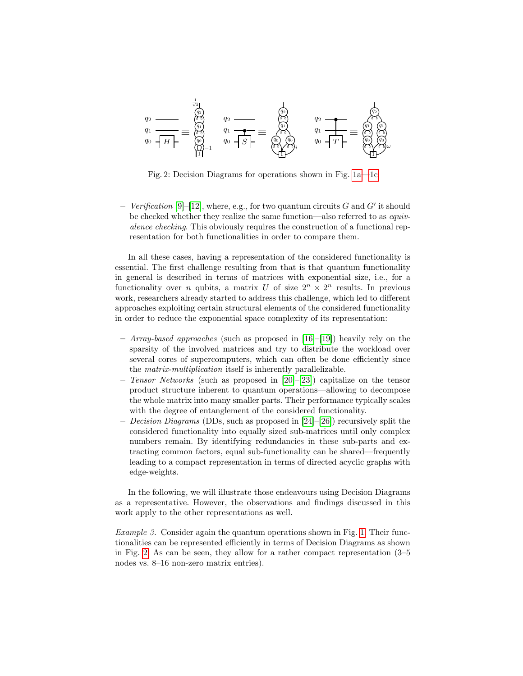<span id="page-4-0"></span>

Fig. 2: Decision Diagrams for operations shown in Fig. [1a—1c](#page-3-1)

- Verification [\[9\]](#page-13-4)-[\[12\]](#page-13-5), where, e.g., for two quantum circuits G and G' it should be checked whether they realize the same function—also referred to as equivalence checking. This obviously requires the construction of a functional representation for both functionalities in order to compare them.

In all these cases, having a representation of the considered functionality is essential. The first challenge resulting from that is that quantum functionality in general is described in terms of matrices with exponential size, i.e., for a functionality over *n* qubits, a matrix U of size  $2^n \times 2^n$  results. In previous work, researchers already started to address this challenge, which led to different approaches exploiting certain structural elements of the considered functionality in order to reduce the exponential space complexity of its representation:

- $-$  *Array-based approaches* (such as proposed in [\[16\]](#page-13-9)–[\[19\]](#page-13-10)) heavily rely on the sparsity of the involved matrices and try to distribute the workload over several cores of supercomputers, which can often be done efficiently since the matrix-multiplication itself is inherently parallelizable.
- Tensor Networks (such as proposed in [\[20\]](#page-14-0)–[\[23\]](#page-14-1)) capitalize on the tensor product structure inherent to quantum operations—allowing to decompose the whole matrix into many smaller parts. Their performance typically scales with the degree of entanglement of the considered functionality.
- $-$  *Decision Diagrams* (DDs, such as proposed in [\[24\]](#page-14-2)–[\[26\]](#page-14-3)) recursively split the considered functionality into equally sized sub-matrices until only complex numbers remain. By identifying redundancies in these sub-parts and extracting common factors, equal sub-functionality can be shared—frequently leading to a compact representation in terms of directed acyclic graphs with edge-weights.

In the following, we will illustrate those endeavours using Decision Diagrams as a representative. However, the observations and findings discussed in this work apply to the other representations as well.

Example 3. Consider again the quantum operations shown in Fig. [1.](#page-3-1) Their functionalities can be represented efficiently in terms of Decision Diagrams as shown in Fig. [2.](#page-4-0) As can be seen, they allow for a rather compact representation (3–5 nodes vs. 8–16 non-zero matrix entries).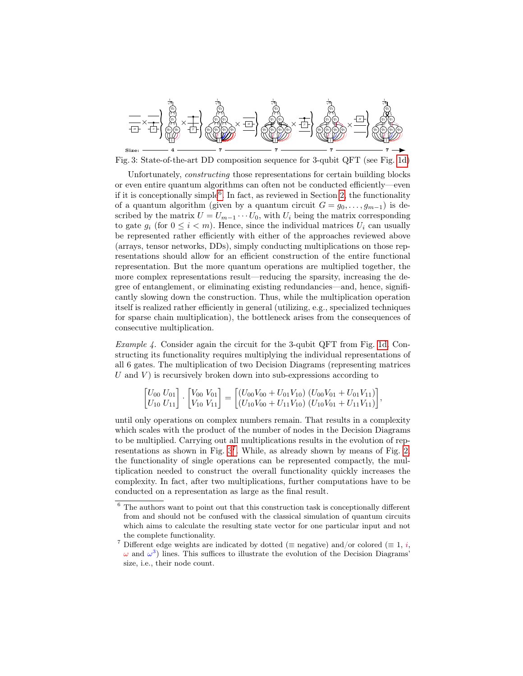<span id="page-5-1"></span>

Fig. 3: State-of-the-art DD composition sequence for 3-qubit QFT (see Fig. [1d\)](#page-3-1)

Unfortunately, constructing those representations for certain building blocks or even entire quantum algorithms can often not be conducted efficiently—even if it is conceptionally simple<sup>[6](#page-5-0)</sup>. In fact, as reviewed in Section [2,](#page-2-0) the functionality of a quantum algorithm (given by a quantum circuit  $G = g_0, \ldots, g_{m-1}$ ) is described by the matrix  $U = U_{m-1} \cdots U_0$ , with  $U_i$  being the matrix corresponding to gate  $g_i$  (for  $0 \le i < m$ ). Hence, since the individual matrices  $U_i$  can usually be represented rather efficiently with either of the approaches reviewed above (arrays, tensor networks, DDs), simply conducting multiplications on those representations should allow for an efficient construction of the entire functional representation. But the more quantum operations are multiplied together, the more complex representations result—reducing the sparsity, increasing the degree of entanglement, or eliminating existing redundancies—and, hence, significantly slowing down the construction. Thus, while the multiplication operation itself is realized rather efficiently in general (utilizing, e.g., specialized techniques for sparse chain multiplication), the bottleneck arises from the consequences of consecutive multiplication.

<span id="page-5-3"></span>*Example 4.* Consider again the circuit for the 3-qubit QFT from Fig. [1d.](#page-3-1) Constructing its functionality requires multiplying the individual representations of all 6 gates. The multiplication of two Decision Diagrams (representing matrices  $U$  and  $V$ ) is recursively broken down into sub-expressions according to

$$
\begin{bmatrix} U_{00} & U_{01} \\ U_{10} & U_{11} \end{bmatrix} \cdot \begin{bmatrix} V_{00} & V_{01} \\ V_{10} & V_{11} \end{bmatrix} = \begin{bmatrix} (U_{00}V_{00} + U_{01}V_{10}) & (U_{00}V_{01} + U_{01}V_{11}) \\ (U_{10}V_{00} + U_{11}V_{10}) & (U_{10}V_{01} + U_{11}V_{11}) \end{bmatrix}
$$

,

until only operations on complex numbers remain. That results in a complexity which scales with the product of the number of nodes in the Decision Diagrams to be multiplied. Carrying out all multiplications results in the evolution of representations as shown in Fig.  $3^7$  $3^7$ . While, as already shown by means of Fig. [2,](#page-4-0) the functionality of single operations can be represented compactly, the multiplication needed to construct the overall functionality quickly increases the complexity. In fact, after two multiplications, further computations have to be conducted on a representation as large as the final result.

<span id="page-5-0"></span> $6$  The authors want to point out that this construction task is conceptionally different from and should not be confused with the classical simulation of quantum circuits which aims to calculate the resulting state vector for one particular input and not the complete functionality.

<span id="page-5-2"></span><sup>&</sup>lt;sup>7</sup> Different edge weights are indicated by dotted ( $\equiv$  negative) and/or colored ( $\equiv$  1, *i*,  $\omega$  and  $\omega^3$ ) lines. This suffices to illustrate the evolution of the Decision Diagrams' size, i.e., their node count.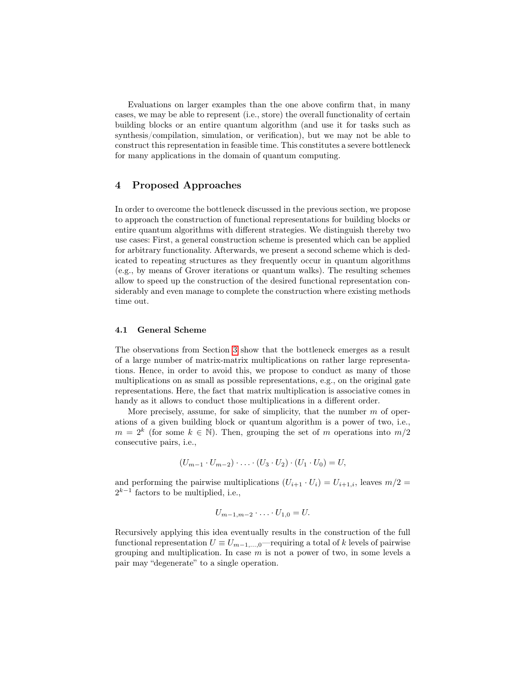Evaluations on larger examples than the one above confirm that, in many cases, we may be able to represent (i.e., store) the overall functionality of certain building blocks or an entire quantum algorithm (and use it for tasks such as synthesis/compilation, simulation, or verification), but we may not be able to construct this representation in feasible time. This constitutes a severe bottleneck for many applications in the domain of quantum computing.

# <span id="page-6-0"></span>4 Proposed Approaches

In order to overcome the bottleneck discussed in the previous section, we propose to approach the construction of functional representations for building blocks or entire quantum algorithms with different strategies. We distinguish thereby two use cases: First, a general construction scheme is presented which can be applied for arbitrary functionality. Afterwards, we present a second scheme which is dedicated to repeating structures as they frequently occur in quantum algorithms (e.g., by means of Grover iterations or quantum walks). The resulting schemes allow to speed up the construction of the desired functional representation considerably and even manage to complete the construction where existing methods time out.

#### <span id="page-6-1"></span>4.1 General Scheme

The observations from Section [3](#page-3-0) show that the bottleneck emerges as a result of a large number of matrix-matrix multiplications on rather large representations. Hence, in order to avoid this, we propose to conduct as many of those multiplications on as small as possible representations, e.g., on the original gate representations. Here, the fact that matrix multiplication is associative comes in handy as it allows to conduct those multiplications in a different order.

More precisely, assume, for sake of simplicity, that the number  $m$  of operations of a given building block or quantum algorithm is a power of two, i.e.,  $m = 2^k$  (for some  $k \in \mathbb{N}$ ). Then, grouping the set of m operations into  $m/2$ consecutive pairs, i.e.,

$$
(U_{m-1}\cdot U_{m-2})\cdot\ldots\cdot (U_3\cdot U_2)\cdot (U_1\cdot U_0)=U,
$$

and performing the pairwise multiplications  $(U_{i+1} \cdot U_i) = U_{i+1,i}$ , leaves  $m/2 =$  $2^{k-1}$  factors to be multiplied, i.e.,

$$
U_{m-1,m-2}\cdot\ldots\cdot U_{1,0}=U.
$$

Recursively applying this idea eventually results in the construction of the full functional representation  $U \equiv U_{m-1,\dots,0}$ —requiring a total of k levels of pairwise grouping and multiplication. In case  $m$  is not a power of two, in some levels a pair may "degenerate" to a single operation.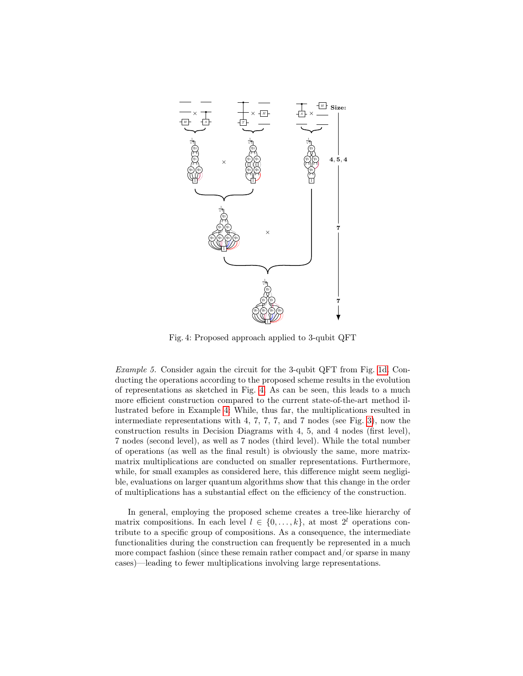<span id="page-7-0"></span>

Fig. 4: Proposed approach applied to 3-qubit QFT

Example 5. Consider again the circuit for the 3-qubit QFT from Fig. [1d.](#page-3-1) Conducting the operations according to the proposed scheme results in the evolution of representations as sketched in Fig. [4.](#page-7-0) As can be seen, this leads to a much more efficient construction compared to the current state-of-the-art method illustrated before in Example [4:](#page-5-3) While, thus far, the multiplications resulted in intermediate representations with 4, 7, 7, 7, and 7 nodes (see Fig. [3\)](#page-5-1), now the construction results in Decision Diagrams with 4, 5, and 4 nodes (first level), 7 nodes (second level), as well as 7 nodes (third level). While the total number of operations (as well as the final result) is obviously the same, more matrixmatrix multiplications are conducted on smaller representations. Furthermore, while, for small examples as considered here, this difference might seem negligible, evaluations on larger quantum algorithms show that this change in the order of multiplications has a substantial effect on the efficiency of the construction.

In general, employing the proposed scheme creates a tree-like hierarchy of matrix compositions. In each level  $l \in \{0, \ldots, k\}$ , at most  $2^l$  operations contribute to a specific group of compositions. As a consequence, the intermediate functionalities during the construction can frequently be represented in a much more compact fashion (since these remain rather compact and/or sparse in many cases)—leading to fewer multiplications involving large representations.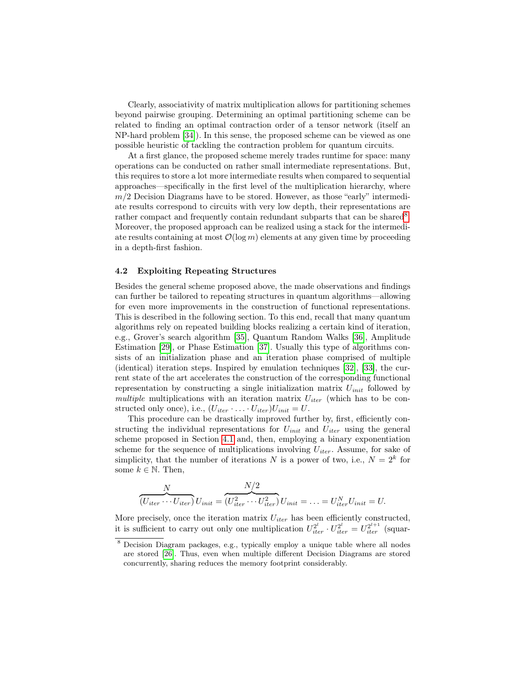Clearly, associativity of matrix multiplication allows for partitioning schemes beyond pairwise grouping. Determining an optimal partitioning scheme can be related to finding an optimal contraction order of a tensor network (itself an NP-hard problem [\[34\]](#page-14-11)). In this sense, the proposed scheme can be viewed as one possible heuristic of tackling the contraction problem for quantum circuits.

At a first glance, the proposed scheme merely trades runtime for space: many operations can be conducted on rather small intermediate representations. But, this requires to store a lot more intermediate results when compared to sequential approaches—specifically in the first level of the multiplication hierarchy, where  $m/2$  Decision Diagrams have to be stored. However, as those "early" intermediate results correspond to circuits with very low depth, their representations are rather compact and frequently contain redundant subparts that can be shared<sup>[8](#page-8-0)</sup>. Moreover, the proposed approach can be realized using a stack for the intermediate results containing at most  $\mathcal{O}(\log m)$  elements at any given time by proceeding in a depth-first fashion.

#### <span id="page-8-1"></span>4.2 Exploiting Repeating Structures

Besides the general scheme proposed above, the made observations and findings can further be tailored to repeating structures in quantum algorithms—allowing for even more improvements in the construction of functional representations. This is described in the following section. To this end, recall that many quantum algorithms rely on repeated building blocks realizing a certain kind of iteration, e.g., Grover's search algorithm [\[35\]](#page-14-12), Quantum Random Walks [\[36\]](#page-14-13), Amplitude Estimation [\[29\]](#page-14-6), or Phase Estimation [\[37\]](#page-14-14). Usually this type of algorithms consists of an initialization phase and an iteration phase comprised of multiple (identical) iteration steps. Inspired by emulation techniques [\[32\]](#page-14-9), [\[33\]](#page-14-10), the current state of the art accelerates the construction of the corresponding functional representation by constructing a single initialization matrix  $U_{init}$  followed by multiple multiplications with an iteration matrix  $U_{iter}$  (which has to be constructed only once), i.e.,  $(U_{iter} \cdot ... \cdot U_{iter})U_{init} = U$ .

This procedure can be drastically improved further by, first, efficiently constructing the individual representations for  $U_{init}$  and  $U_{iter}$  using the general scheme proposed in Section [4.1](#page-6-1) and, then, employing a binary exponentiation scheme for the sequence of multiplications involving  $U_{iter}$ . Assume, for sake of simplicity, that the number of iterations N is a power of two, i.e.,  $N = 2<sup>k</sup>$  for some  $k \in \mathbb{N}$ . Then,

$$
\underbrace{N}_{(U_{iter}\cdots U_{iter})} \underbrace{U_{init}}_{U_{init}} = \underbrace{N/2}_{(U_{iter}^2\cdots U_{iter}^2)} U_{init} = \ldots = U_{iter}^N U_{init} = U.
$$

More precisely, once the iteration matrix  $U_{iter}$  has been efficiently constructed, it is sufficient to carry out only one multiplication  $U_{iter}^{2^l} \cdot U_{iter}^{2^l} = U_{iter}^{2^{l+1}}$  (squar-

<span id="page-8-0"></span><sup>8</sup> Decision Diagram packages, e.g., typically employ a unique table where all nodes are stored [\[26\]](#page-14-3). Thus, even when multiple different Decision Diagrams are stored concurrently, sharing reduces the memory footprint considerably.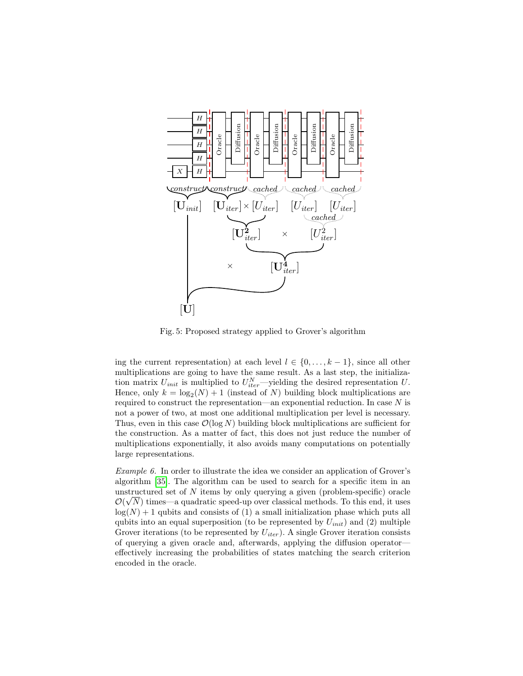<span id="page-9-0"></span>

Fig. 5: Proposed strategy applied to Grover's algorithm

ing the current representation) at each level  $l \in \{0, \ldots, k-1\}$ , since all other multiplications are going to have the same result. As a last step, the initialization matrix  $U_{init}$  is multiplied to  $U_{iter}^N$ —yielding the desired representation U. Hence, only  $k = \log_2(N) + 1$  (instead of N) building block multiplications are required to construct the representation—an exponential reduction. In case  $N$  is not a power of two, at most one additional multiplication per level is necessary. Thus, even in this case  $\mathcal{O}(\log N)$  building block multiplications are sufficient for the construction. As a matter of fact, this does not just reduce the number of multiplications exponentially, it also avoids many computations on potentially large representations.

Example 6. In order to illustrate the idea we consider an application of Grover's algorithm [\[35\]](#page-14-12). The algorithm can be used to search for a specific item in an unstructured set of  $N$  items by only querying a given (problem-specific) oracle  $\mathcal{O}(\sqrt{N})$  times—a quadratic speed-up over classical methods. To this end, it uses  $log(N) + 1$  qubits and consists of (1) a small initialization phase which puts all qubits into an equal superposition (to be represented by  $U_{init}$ ) and (2) multiple Grover iterations (to be represented by  $U_{iter}$ ). A single Grover iteration consists of querying a given oracle and, afterwards, applying the diffusion operator effectively increasing the probabilities of states matching the search criterion encoded in the oracle.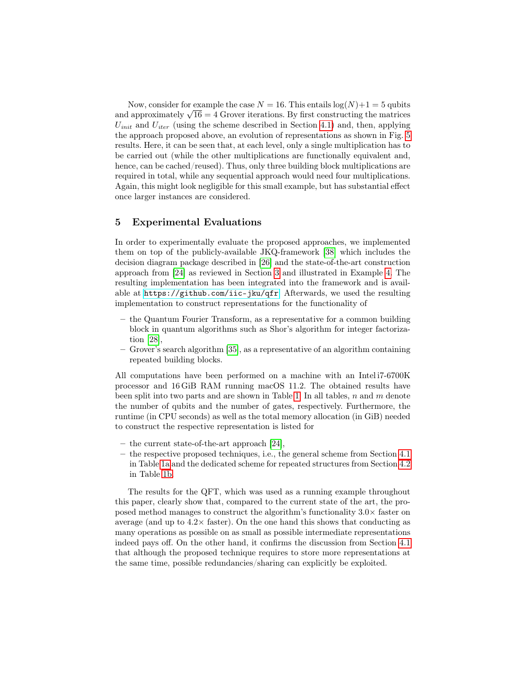Now, consider for example the case  $N = 16$ . This entails  $log(N)+1 = 5$  qubits Now, consider for example the case  $N = 10$ . This entails  $log(N) + 1 = 3$  qubits and approximately  $\sqrt{16} = 4$  Grover iterations. By first constructing the matrices  $U_{init}$  and  $U_{iter}$  (using the scheme described in Section [4.1\)](#page-6-1) and, then, applying the approach proposed above, an evolution of representations as shown in Fig. [5](#page-9-0) results. Here, it can be seen that, at each level, only a single multiplication has to be carried out (while the other multiplications are functionally equivalent and, hence, can be cached/reused). Thus, only three building block multiplications are required in total, while any sequential approach would need four multiplications. Again, this might look negligible for this small example, but has substantial effect once larger instances are considered.

# <span id="page-10-0"></span>5 Experimental Evaluations

In order to experimentally evaluate the proposed approaches, we implemented them on top of the publicly-available JKQ-framework [\[38\]](#page-14-15) which includes the decision diagram package described in [\[26\]](#page-14-3) and the state-of-the-art construction approach from [\[24\]](#page-14-2) as reviewed in Section [3](#page-3-0) and illustrated in Example [4.](#page-5-3) The resulting implementation has been integrated into the framework and is available at  $https://github.com/ijc-jku/qfr.$  Afterwards, we used the resulting implementation to construct representations for the functionality of

- the Quantum Fourier Transform, as a representative for a common building block in quantum algorithms such as Shor's algorithm for integer factorization [\[28\]](#page-14-5),
- Grover's search algorithm [\[35\]](#page-14-12), as a representative of an algorithm containing repeated building blocks.

All computations have been performed on a machine with an Intel i7-6700K processor and 16 GiB RAM running macOS 11.2. The obtained results have been split into two parts and are shown in Table [1.](#page-11-0) In all tables,  $n$  and  $m$  denote the number of qubits and the number of gates, respectively. Furthermore, the runtime (in CPU seconds) as well as the total memory allocation (in GiB) needed to construct the respective representation is listed for

- the current state-of-the-art approach [\[24\]](#page-14-2),
- the respective proposed techniques, i.e., the general scheme from Section [4.1](#page-6-1) in Table [1a](#page-11-0) and the dedicated scheme for repeated structures from Section [4.2](#page-8-1) in Table [1b.](#page-11-0)

The results for the QFT, which was used as a running example throughout this paper, clearly show that, compared to the current state of the art, the proposed method manages to construct the algorithm's functionality  $3.0\times$  faster on average (and up to  $4.2\times$  faster). On the one hand this shows that conducting as many operations as possible on as small as possible intermediate representations indeed pays off. On the other hand, it confirms the discussion from Section [4.1](#page-6-1) that although the proposed technique requires to store more representations at the same time, possible redundancies/sharing can explicitly be exploited.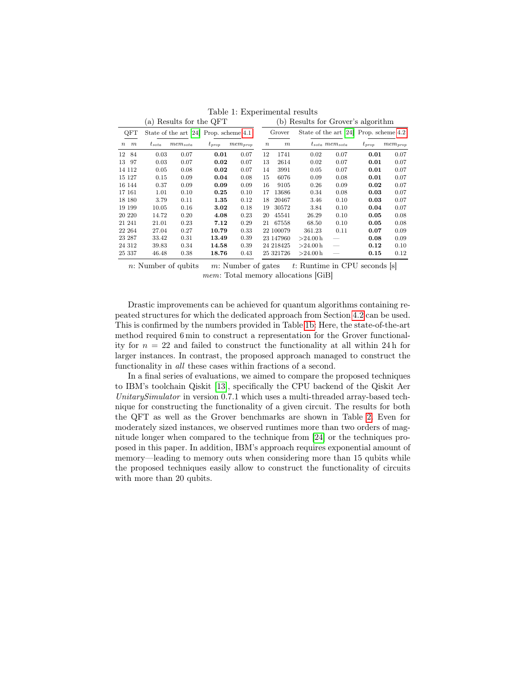<span id="page-11-0"></span>

|             |            |                                        |            |              |                  | $\sim$    |         |                                          |            |              |
|-------------|------------|----------------------------------------|------------|--------------|------------------|-----------|---------|------------------------------------------|------------|--------------|
| QFT         |            | State of the art [24] Prop. scheme 4.1 |            |              |                  | Grover    |         | State of the art $[24]$ Prop. scheme 4.2 |            |              |
| $n \quad m$ | $t_{sota}$ | $mem_{sota}$                           | $t_{prop}$ | $mem_{prop}$ | $\boldsymbol{n}$ | m         |         | $t_{sota}$ me $m_{sota}$                 | $t_{prop}$ | $mem_{prop}$ |
| 12 84       | 0.03       | 0.07                                   | 0.01       | 0.07         | 12               | 1741      | 0.02    | 0.07                                     | 0.01       | 0.07         |
| 13<br>-97   | 0.03       | 0.07                                   | 0.02       | 0.07         | 13               | 2614      | 0.02    | 0.07                                     | 0.01       | 0.07         |
| 14 112      | 0.05       | 0.08                                   | 0.02       | 0.07         | 14               | 3991      | 0.05    | 0.07                                     | 0.01       | 0.07         |
| 15 127      | 0.15       | 0.09                                   | 0.04       | 0.08         | 15               | 6076      | 0.09    | 0.08                                     | 0.01       | 0.07         |
| 16 144      | 0.37       | 0.09                                   | 0.09       | 0.09         | 16               | 9105      | 0.26    | 0.09                                     | 0.02       | 0.07         |
| 17 161      | 1.01       | 0.10                                   | 0.25       | 0.10         | 17               | 13686     | 0.34    | 0.08                                     | 0.03       | 0.07         |
| 18 18 0     | 3.79       | 0.11                                   | 1.35       | 0.12         | 18               | 20467     | 3.46    | 0.10                                     | 0.03       | 0.07         |
| 19 199      | 10.05      | 0.16                                   | 3.02       | 0.18         | 19               | 30572     | 3.84    | 0.10                                     | 0.04       | 0.07         |
| 20 220      | 14.72      | 0.20                                   | 4.08       | 0.23         | 20               | 45541     | 26.29   | 0.10                                     | 0.05       | 0.08         |
| 21 241      | 21.01      | 0.23                                   | 7.12       | 0.29         |                  | 21 67558  | 68.50   | 0.10                                     | 0.05       | 0.08         |
| 22 264      | 27.04      | 0.27                                   | 10.79      | 0.33         |                  | 22 100079 | 361.23  | 0.11                                     | 0.07       | 0.09         |
| 23 287      | 33.42      | 0.31                                   | 13.49      | 0.39         |                  | 23 147960 | >24.00h |                                          | 0.08       | 0.09         |
| 24 312      | 39.83      | 0.34                                   | 14.58      | 0.39         |                  | 24 218425 | >24.00h |                                          | 0.12       | 0.10         |
| 25 337      | 46.48      | 0.38                                   | 18.76      | 0.43         |                  | 25 321726 | >24.00h |                                          | 0.15       | 0.12         |
|             |            |                                        |            |              |                  |           |         |                                          |            |              |

Table 1: Experimental results (a) Results for the QFT (b) Results for Grover's algorithm

n: Number of qubits m: Number of gates  $t:$  Runtime in CPU seconds [s] mem: Total memory allocations [GiB]

Drastic improvements can be achieved for quantum algorithms containing repeated structures for which the dedicated approach from Section [4.2](#page-8-1) can be used. This is confirmed by the numbers provided in Table [1b:](#page-11-0) Here, the state-of-the-art method required 6 min to construct a representation for the Grover functionality for  $n = 22$  and failed to construct the functionality at all within 24h for larger instances. In contrast, the proposed approach managed to construct the functionality in *all* these cases within fractions of a second.

In a final series of evaluations, we aimed to compare the proposed techniques to IBM's toolchain Qiskit [\[13\]](#page-13-6), specifically the CPU backend of the Qiskit Aer UnitarySimulator in version 0.7.1 which uses a multi-threaded array-based technique for constructing the functionality of a given circuit. The results for both the QFT as well as the Grover benchmarks are shown in Table [2.](#page-12-1) Even for moderately sized instances, we observed runtimes more than two orders of magnitude longer when compared to the technique from [\[24\]](#page-14-2) or the techniques proposed in this paper. In addition, IBM's approach requires exponential amount of memory—leading to memory outs when considering more than 15 qubits while the proposed techniques easily allow to construct the functionality of circuits with more than 20 qubits.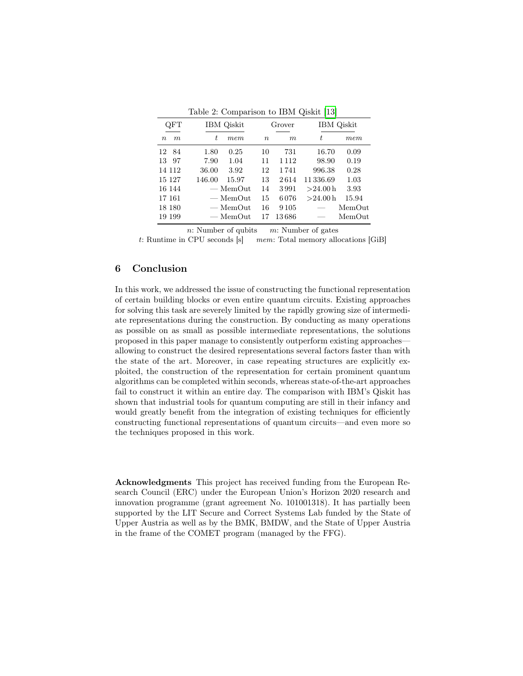Table 2: Comparison to IBM Qiskit [\[13\]](#page-13-6)

<span id="page-12-1"></span>

| OFT         | IBM Qiskit         |                  | Grover  | IBM Qiskit |        |  |
|-------------|--------------------|------------------|---------|------------|--------|--|
| m<br>$\, n$ | t<br>mem           | $\boldsymbol{n}$ | m       | t          | mem    |  |
| 84<br>12    | 0.25<br>1.80       | 10               | 731     | 16.70      | 0.09   |  |
| 13<br>97    | 7.90<br>1.04       | 11               | 1 1 1 2 | 98.90      | 0.19   |  |
| 14 112      | 3.92<br>36.00      | 12               | 1741    | 996.38     | 0.28   |  |
| 15 127      | 146.00<br>15.97    | 13               | 2614    | 11336.69   | 1.03   |  |
| 16 144      | $-\mathrm{MemOut}$ | 14               | 3991    | >24.00h    | 3.93   |  |
| 17 161      | $-\mathrm{MemOut}$ | 15               | 6076    | >24.00h    | 15.94  |  |
| 18 180      | $-$ MemOut         | 16               | 9105    |            | MemOut |  |
| 19 199      | $-\mathrm{MemOut}$ | 17               | 13686   |            | MemOut |  |

 $n:$  Number of qubits  $m:$  Number of gates

t: Runtime in CPU seconds [s] mem: Total memory allocations [GiB]

## <span id="page-12-0"></span>6 Conclusion

In this work, we addressed the issue of constructing the functional representation of certain building blocks or even entire quantum circuits. Existing approaches for solving this task are severely limited by the rapidly growing size of intermediate representations during the construction. By conducting as many operations as possible on as small as possible intermediate representations, the solutions proposed in this paper manage to consistently outperform existing approaches allowing to construct the desired representations several factors faster than with the state of the art. Moreover, in case repeating structures are explicitly exploited, the construction of the representation for certain prominent quantum algorithms can be completed within seconds, whereas state-of-the-art approaches fail to construct it within an entire day. The comparison with IBM's Qiskit has shown that industrial tools for quantum computing are still in their infancy and would greatly benefit from the integration of existing techniques for efficiently constructing functional representations of quantum circuits—and even more so the techniques proposed in this work.

Acknowledgments This project has received funding from the European Research Council (ERC) under the European Union's Horizon 2020 research and innovation programme (grant agreement No. 101001318). It has partially been supported by the LIT Secure and Correct Systems Lab funded by the State of Upper Austria as well as by the BMK, BMDW, and the State of Upper Austria in the frame of the COMET program (managed by the FFG).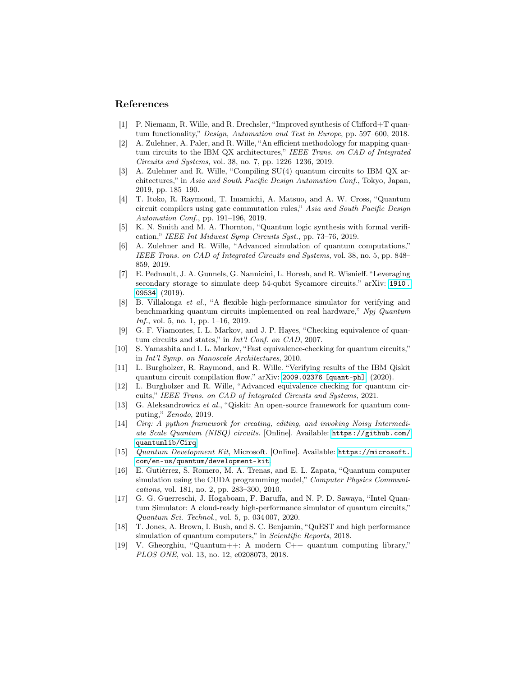## References

- <span id="page-13-0"></span>[1] P. Niemann, R. Wille, and R. Drechsler, "Improved synthesis of Clifford+T quantum functionality," Design, Automation and Test in Europe, pp. 597–600, 2018.
- [2] A. Zulehner, A. Paler, and R. Wille, "An efficient methodology for mapping quantum circuits to the IBM QX architectures," IEEE Trans. on CAD of Integrated Circuits and Systems, vol. 38, no. 7, pp. 1226–1236, 2019.
- [3] A. Zulehner and R. Wille, "Compiling SU(4) quantum circuits to IBM QX architectures," in Asia and South Pacific Design Automation Conf., Tokyo, Japan, 2019, pp. 185–190.
- [4] T. Itoko, R. Raymond, T. Imamichi, A. Matsuo, and A. W. Cross, "Quantum circuit compilers using gate commutation rules," Asia and South Pacific Design Automation Conf., pp. 191–196, 2019.
- <span id="page-13-1"></span>[5] K. N. Smith and M. A. Thornton, "Quantum logic synthesis with formal verification," IEEE Int Midwest Symp Circuits Syst., pp. 73–76, 2019.
- <span id="page-13-2"></span>[6] A. Zulehner and R. Wille, "Advanced simulation of quantum computations," IEEE Trans. on CAD of Integrated Circuits and Systems, vol. 38, no. 5, pp. 848– 859, 2019.
- [7] E. Pednault, J. A. Gunnels, G. Nannicini, L. Horesh, and R. Wisnieff. "Leveraging secondary storage to simulate deep 54-qubit Sycamore circuits." arXiv: [1910.](https://arxiv.org/abs/1910.09534) [09534](https://arxiv.org/abs/1910.09534). (2019).
- <span id="page-13-3"></span>[8] B. Villalonga et al., "A flexible high-performance simulator for verifying and benchmarking quantum circuits implemented on real hardware," Npj Quantum Inf., vol. 5, no. 1, pp. 1–16, 2019.
- <span id="page-13-4"></span>[9] G. F. Viamontes, I. L. Markov, and J. P. Hayes, "Checking equivalence of quantum circuits and states," in Int'l Conf. on CAD, 2007.
- [10] S. Yamashita and I. L. Markov, "Fast equivalence-checking for quantum circuits," in Int'l Symp. on Nanoscale Architectures, 2010.
- [11] L. Burgholzer, R. Raymond, and R. Wille. "Verifying results of the IBM Qiskit quantum circuit compilation flow." arXiv: [2009.02376 \[quant-ph\]](https://arxiv.org/abs/2009.02376). (2020).
- <span id="page-13-5"></span>[12] L. Burgholzer and R. Wille, "Advanced equivalence checking for quantum circuits," IEEE Trans. on CAD of Integrated Circuits and Systems, 2021.
- <span id="page-13-6"></span>[13] G. Aleksandrowicz et al., "Qiskit: An open-source framework for quantum computing," Zenodo, 2019.
- <span id="page-13-7"></span>[14] Cirq: A python framework for creating, editing, and invoking Noisy Intermediate Scale Quantum (NISQ) circuits. [Online]. Available: [https://github.com/](https://github.com/quantumlib/Cirq) [quantumlib/Cirq](https://github.com/quantumlib/Cirq).
- <span id="page-13-8"></span>[15] Quantum Development Kit, Microsoft. [Online]. Available: [https://microsoft.](https://microsoft.com/en-us/quantum/development-kit) [com/en-us/quantum/development-kit](https://microsoft.com/en-us/quantum/development-kit).
- <span id="page-13-9"></span>[16] E. Gutiérrez, S. Romero, M. A. Trenas, and E. L. Zapata, "Quantum computer simulation using the CUDA programming model," Computer Physics Communications, vol. 181, no. 2, pp. 283–300, 2010.
- [17] G. G. Guerreschi, J. Hogaboam, F. Baruffa, and N. P. D. Sawaya, "Intel Quantum Simulator: A cloud-ready high-performance simulator of quantum circuits," Quantum Sci. Technol., vol. 5, p. 034 007, 2020.
- [18] T. Jones, A. Brown, I. Bush, and S. C. Benjamin, "QuEST and high performance simulation of quantum computers," in Scientific Reports, 2018.
- <span id="page-13-10"></span>[19] V. Gheorghiu, "Quantum++: A modern C++ quantum computing library," PLOS ONE, vol. 13, no. 12, e0208073, 2018.